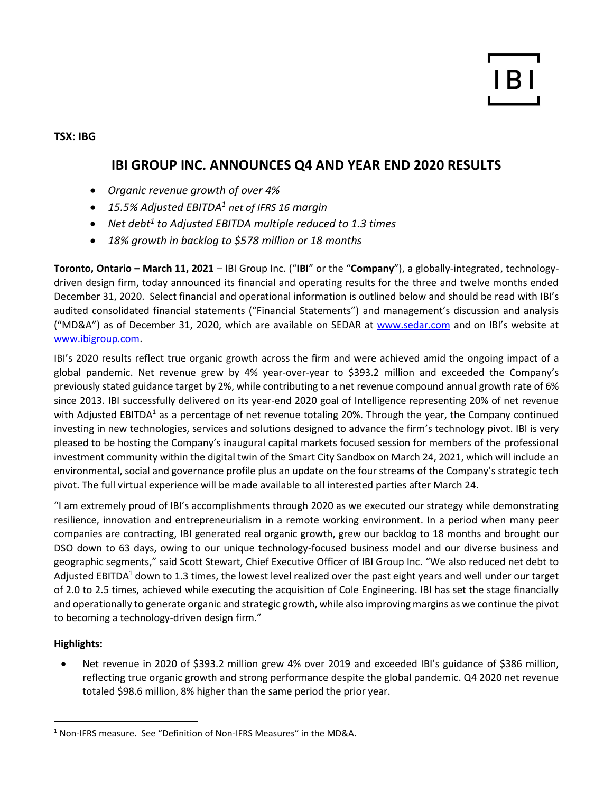**TSX: IBG**

# **IBI GROUP INC. ANNOUNCES Q4 AND YEAR END 2020 RESULTS**

- *Organic revenue growth of over 4%*
- *15.5% Adjusted EBITDA<sup>1</sup> net of IFRS 16 margin*
- *Net debt<sup>1</sup> to Adjusted EBITDA multiple reduced to 1.3 times*
- *18% growth in backlog to \$578 million or 18 months*

**Toronto, Ontario – March 11, 2021** – IBI Group Inc. ("**IBI**" or the "**Company**"), a globally-integrated, technologydriven design firm, today announced its financial and operating results for the three and twelve months ended December 31, 2020. Select financial and operational information is outlined below and should be read with IBI's audited consolidated financial statements ("Financial Statements") and management's discussion and analysis ("MD&A") as of December 31, 2020, which are available on SEDAR at [www.sedar.com](http://www.sedar.com/) and on IBI's website at [www.ibigroup.com.](http://www.ibigroup.com/)

IBI's 2020 results reflect true organic growth across the firm and were achieved amid the ongoing impact of a global pandemic. Net revenue grew by 4% year-over-year to \$393.2 million and exceeded the Company's previously stated guidance target by 2%, while contributing to a net revenue compound annual growth rate of 6% since 2013. IBI successfully delivered on its year-end 2020 goal of Intelligence representing 20% of net revenue with Adjusted EBITDA<sup>1</sup> as a percentage of net revenue totaling 20%. Through the year, the Company continued investing in new technologies, services and solutions designed to advance the firm's technology pivot. IBI is very pleased to be hosting the Company's inaugural capital markets focused session for members of the professional investment community within the digital twin of the Smart City Sandbox on March 24, 2021, which will include an environmental, social and governance profile plus an update on the four streams of the Company's strategic tech pivot. The full virtual experience will be made available to all interested parties after March 24.

"I am extremely proud of IBI's accomplishments through 2020 as we executed our strategy while demonstrating resilience, innovation and entrepreneurialism in a remote working environment. In a period when many peer companies are contracting, IBI generated real organic growth, grew our backlog to 18 months and brought our DSO down to 63 days, owing to our unique technology-focused business model and our diverse business and geographic segments," said Scott Stewart, Chief Executive Officer of IBI Group Inc. "We also reduced net debt to Adjusted EBITDA<sup>1</sup> down to 1.3 times, the lowest level realized over the past eight years and well under our target of 2.0 to 2.5 times, achieved while executing the acquisition of Cole Engineering. IBI has set the stage financially and operationally to generate organic and strategic growth, while also improving margins as we continue the pivot to becoming a technology-driven design firm."

## **Highlights:**

• Net revenue in 2020 of \$393.2 million grew 4% over 2019 and exceeded IBI's guidance of \$386 million, reflecting true organic growth and strong performance despite the global pandemic. Q4 2020 net revenue totaled \$98.6 million, 8% higher than the same period the prior year.

<sup>&</sup>lt;sup>1</sup> Non-IFRS measure. See "Definition of Non-IFRS Measures" in the MD&A.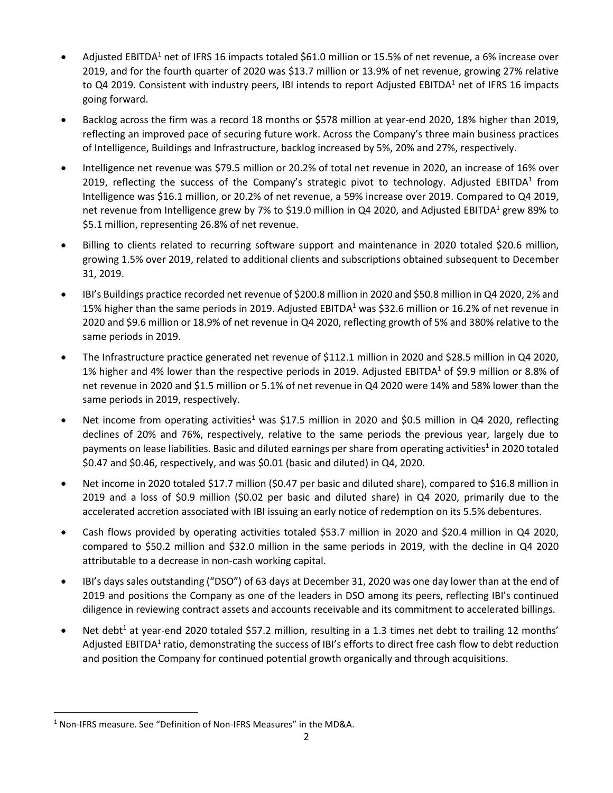- Adjusted EBITDA<sup>1</sup> net of IFRS 16 impacts totaled \$61.0 million or 15.5% of net revenue, a 6% increase over 2019, and for the fourth quarter of 2020 was \$13.7 million or 13.9% of net revenue, growing 27% relative to Q4 2019. Consistent with industry peers, IBI intends to report Adjusted EBITDA<sup>1</sup> net of IFRS 16 impacts going forward.
- Backlog across the firm was a record 18 months or \$578 million at year-end 2020, 18% higher than 2019, reflecting an improved pace of securing future work. Across the Company's three main business practices of Intelligence, Buildings and Infrastructure, backlog increased by 5%, 20% and 27%, respectively.
- Intelligence net revenue was \$79.5 million or 20.2% of total net revenue in 2020, an increase of 16% over 2019, reflecting the success of the Company's strategic pivot to technology. Adjusted EBITDA<sup>1</sup> from Intelligence was \$16.1 million, or 20.2% of net revenue, a 59% increase over 2019. Compared to Q4 2019, net revenue from Intelligence grew by 7% to \$19.0 million in Q4 2020, and Adjusted EBITDA<sup>1</sup> grew 89% to \$5.1 million, representing 26.8% of net revenue.
- Billing to clients related to recurring software support and maintenance in 2020 totaled \$20.6 million, growing 1.5% over 2019, related to additional clients and subscriptions obtained subsequent to December 31, 2019.
- IBI's Buildings practice recorded net revenue of \$200.8 million in 2020 and \$50.8 million in Q4 2020, 2% and 15% higher than the same periods in 2019. Adjusted EBITDA<sup>1</sup> was \$32.6 million or 16.2% of net revenue in 2020 and \$9.6 million or 18.9% of net revenue in Q4 2020, reflecting growth of 5% and 380% relative to the same periods in 2019.
- The Infrastructure practice generated net revenue of \$112.1 million in 2020 and \$28.5 million in Q4 2020, 1% higher and 4% lower than the respective periods in 2019. Adjusted EBITDA<sup>1</sup> of \$9.9 million or 8.8% of net revenue in 2020 and \$1.5 million or 5.1% of net revenue in Q4 2020 were 14% and 58% lower than the same periods in 2019, respectively.
- Net income from operating activities<sup>1</sup> was \$17.5 million in 2020 and \$0.5 million in Q4 2020, reflecting declines of 20% and 76%, respectively, relative to the same periods the previous year, largely due to payments on lease liabilities. Basic and diluted earnings per share from operating activities<sup>1</sup> in 2020 totaled \$0.47 and \$0.46, respectively, and was \$0.01 (basic and diluted) in Q4, 2020.
- Net income in 2020 totaled \$17.7 million (\$0.47 per basic and diluted share), compared to \$16.8 million in 2019 and a loss of \$0.9 million (\$0.02 per basic and diluted share) in Q4 2020, primarily due to the accelerated accretion associated with IBI issuing an early notice of redemption on its 5.5% debentures.
- Cash flows provided by operating activities totaled \$53.7 million in 2020 and \$20.4 million in Q4 2020, compared to \$50.2 million and \$32.0 million in the same periods in 2019, with the decline in Q4 2020 attributable to a decrease in non-cash working capital.
- IBI's days sales outstanding ("DSO") of 63 days at December 31, 2020 was one day lower than at the end of 2019 and positions the Company as one of the leaders in DSO among its peers, reflecting IBI's continued diligence in reviewing contract assets and accounts receivable and its commitment to accelerated billings.
- Net debt<sup>1</sup> at year-end 2020 totaled \$57.2 million, resulting in a 1.3 times net debt to trailing 12 months' Adjusted EBITDA<sup>1</sup> ratio, demonstrating the success of IBI's efforts to direct free cash flow to debt reduction and position the Company for continued potential growth organically and through acquisitions.

<sup>&</sup>lt;sup>1</sup> Non-IFRS measure. See "Definition of Non-IFRS Measures" in the MD&A.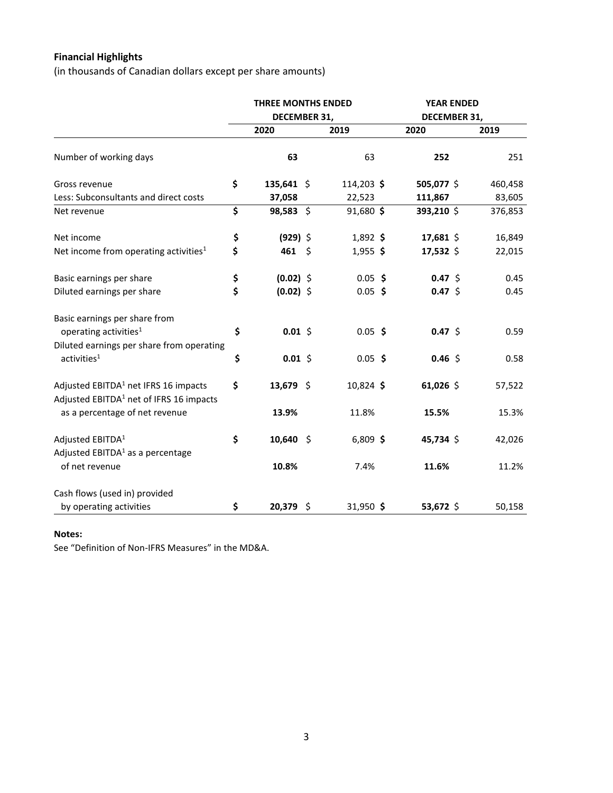# **Financial Highlights**

(in thousands of Canadian dollars except per share amounts)

|                                                                                       | <b>THREE MONTHS ENDED</b><br>DECEMBER 31, |              |  |            | <b>YEAR ENDED</b> |              |         |
|---------------------------------------------------------------------------------------|-------------------------------------------|--------------|--|------------|-------------------|--------------|---------|
|                                                                                       |                                           |              |  |            |                   | DECEMBER 31, |         |
|                                                                                       |                                           | 2020         |  | 2019       |                   | 2020         | 2019    |
| Number of working days                                                                |                                           | 63           |  | 63         |                   | 252          | 251     |
| Gross revenue                                                                         | \$                                        | $135,641$ \$ |  | 114,203 \$ |                   | 505,077 \$   | 460,458 |
| Less: Subconsultants and direct costs                                                 |                                           | 37,058       |  | 22,523     |                   | 111,867      | 83,605  |
| Net revenue                                                                           | \$                                        | $98,583$ \$  |  | 91,680 \$  |                   | 393,210 \$   | 376,853 |
| Net income                                                                            | \$                                        | $(929)$ \$   |  | 1,892 \$   |                   | 17,681 \$    | 16,849  |
| Net income from operating activities <sup>1</sup>                                     | \$                                        | 461 \$       |  | $1,955$ \$ |                   | 17,532 \$    | 22,015  |
| Basic earnings per share                                                              | \$                                        | $(0.02)$ \$  |  | $0.05$ \$  |                   | $0.47 \;$ \$ | 0.45    |
| Diluted earnings per share                                                            | \$                                        | $(0.02)$ \$  |  | $0.05$ \$  |                   | $0.47 \;$ \$ | 0.45    |
| Basic earnings per share from                                                         |                                           |              |  |            |                   |              |         |
| operating activities <sup>1</sup>                                                     | \$                                        | $0.01$ \$    |  | $0.05$ \$  |                   | $0.47 \;$ \$ | 0.59    |
| Diluted earnings per share from operating<br>activities <sup>1</sup>                  | \$                                        | $0.01$ \$    |  | $0.05$ \$  |                   | $0.46$ \$    | 0.58    |
|                                                                                       |                                           |              |  |            |                   |              |         |
| Adjusted EBITDA <sup>1</sup> net IFRS 16 impacts                                      | \$                                        | 13,679 \$    |  | 10,824 \$  |                   | 61,026 \$    | 57,522  |
| Adjusted EBITDA <sup>1</sup> net of IFRS 16 impacts<br>as a percentage of net revenue |                                           | 13.9%        |  | 11.8%      |                   | 15.5%        | 15.3%   |
|                                                                                       |                                           |              |  |            |                   |              |         |
| Adjusted EBITDA <sup>1</sup>                                                          | \$                                        | $10,640$ \$  |  | $6,809$ \$ |                   | 45,734 \$    | 42,026  |
| Adjusted $EBITDA1$ as a percentage<br>of net revenue                                  |                                           | 10.8%        |  | 7.4%       |                   | 11.6%        | 11.2%   |
|                                                                                       |                                           |              |  |            |                   |              |         |
| Cash flows (used in) provided<br>by operating activities                              | \$                                        | 20,379 \$    |  | 31,950 \$  |                   | 53,672 \$    | 50,158  |
|                                                                                       |                                           |              |  |            |                   |              |         |

### **Notes:**

See "Definition of Non-IFRS Measures" in the MD&A.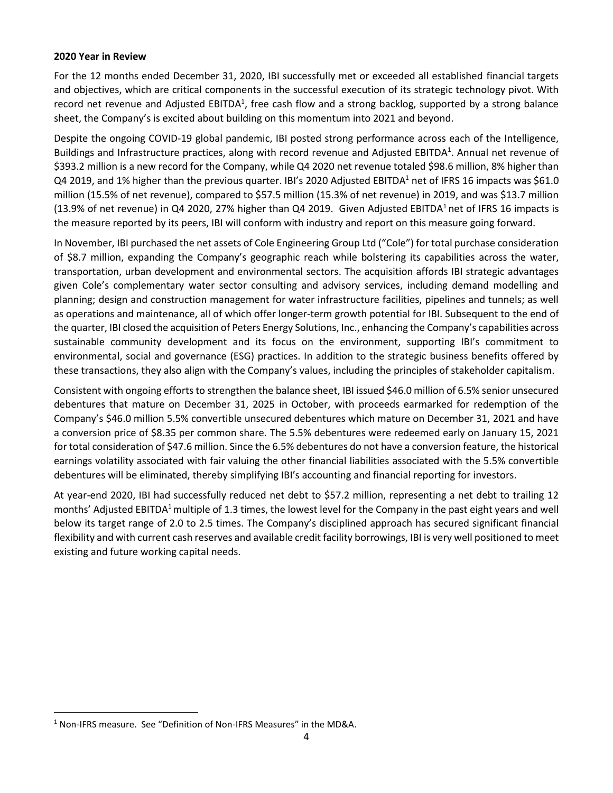#### **2020 Year in Review**

For the 12 months ended December 31, 2020, IBI successfully met or exceeded all established financial targets and objectives, which are critical components in the successful execution of its strategic technology pivot. With record net revenue and Adjusted EBITDA<sup>1</sup>, free cash flow and a strong backlog, supported by a strong balance sheet, the Company's is excited about building on this momentum into 2021 and beyond.

Despite the ongoing COVID-19 global pandemic, IBI posted strong performance across each of the Intelligence, Buildings and Infrastructure practices, along with record revenue and Adjusted EBITDA<sup>1</sup>. Annual net revenue of \$393.2 million is a new record for the Company, while Q4 2020 net revenue totaled \$98.6 million, 8% higher than Q4 2019, and 1% higher than the previous quarter. IBI's 2020 Adjusted EBITDA<sup>1</sup> net of IFRS 16 impacts was \$61.0 million (15.5% of net revenue), compared to \$57.5 million (15.3% of net revenue) in 2019, and was \$13.7 million (13.9% of net revenue) in Q4 2020, 27% higher than Q4 2019. Given Adjusted EBITDA<sup>1</sup> net of IFRS 16 impacts is the measure reported by its peers, IBI will conform with industry and report on this measure going forward.

In November, IBI purchased the net assets of Cole Engineering Group Ltd ("Cole") for total purchase consideration of \$8.7 million, expanding the Company's geographic reach while bolstering its capabilities across the water, transportation, urban development and environmental sectors. The acquisition affords IBI strategic advantages given Cole's complementary water sector consulting and advisory services, including demand modelling and planning; design and construction management for water infrastructure facilities, pipelines and tunnels; as well as operations and maintenance, all of which offer longer-term growth potential for IBI. Subsequent to the end of the quarter, IBI closed the acquisition of Peters Energy Solutions, Inc., enhancing the Company's capabilities across sustainable community development and its focus on the environment, supporting IBI's commitment to environmental, social and governance (ESG) practices. In addition to the strategic business benefits offered by these transactions, they also align with the Company's values, including the principles of stakeholder capitalism.

Consistent with ongoing efforts to strengthen the balance sheet, IBI issued \$46.0 million of 6.5% senior unsecured debentures that mature on December 31, 2025 in October, with proceeds earmarked for redemption of the Company's \$46.0 million 5.5% convertible unsecured debentures which mature on December 31, 2021 and have a conversion price of \$8.35 per common share. The 5.5% debentures were redeemed early on January 15, 2021 for total consideration of \$47.6 million. Since the 6.5% debentures do not have a conversion feature, the historical earnings volatility associated with fair valuing the other financial liabilities associated with the 5.5% convertible debentures will be eliminated, thereby simplifying IBI's accounting and financial reporting for investors.

At year-end 2020, IBI had successfully reduced net debt to \$57.2 million, representing a net debt to trailing 12 months' Adjusted EBITDA<sup>1</sup> multiple of 1.3 times, the lowest level for the Company in the past eight years and well below its target range of 2.0 to 2.5 times. The Company's disciplined approach has secured significant financial flexibility and with current cash reserves and available credit facility borrowings, IBI is very well positioned to meet existing and future working capital needs.

<sup>&</sup>lt;sup>1</sup> Non-IFRS measure. See "Definition of Non-IFRS Measures" in the MD&A.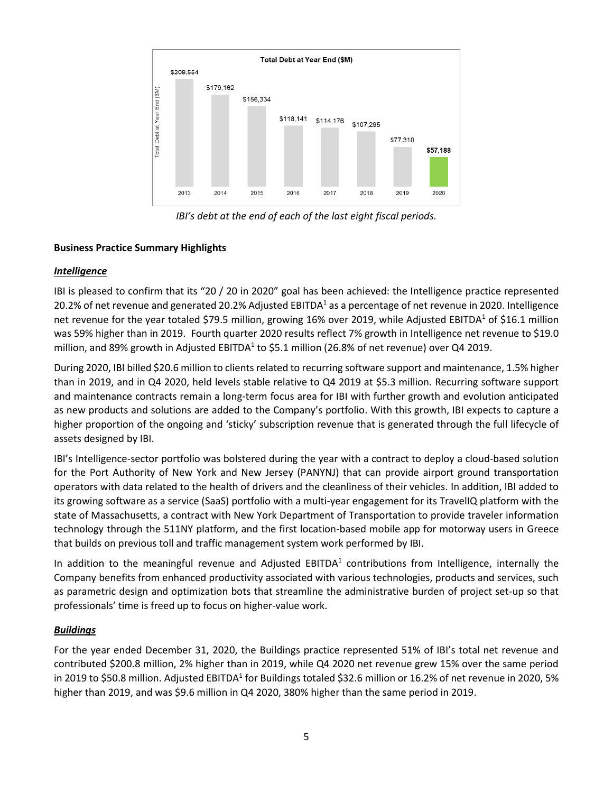

*IBI's debt at the end of each of the last eight fiscal periods.*

### **Business Practice Summary Highlights**

### *Intelligence*

IBI is pleased to confirm that its "20 / 20 in 2020" goal has been achieved: the Intelligence practice represented 20.2% of net revenue and generated 20.2% Adjusted EBITDA<sup>1</sup> as a percentage of net revenue in 2020. Intelligence net revenue for the year totaled \$79.5 million, growing 16% over 2019, while Adjusted EBITDA<sup>1</sup> of \$16.1 million was 59% higher than in 2019. Fourth quarter 2020 results reflect 7% growth in Intelligence net revenue to \$19.0 million, and 89% growth in Adjusted EBITDA<sup>1</sup> to \$5.1 million (26.8% of net revenue) over Q4 2019.

During 2020, IBI billed \$20.6 million to clients related to recurring software support and maintenance, 1.5% higher than in 2019, and in Q4 2020, held levels stable relative to Q4 2019 at \$5.3 million. Recurring software support and maintenance contracts remain a long-term focus area for IBI with further growth and evolution anticipated as new products and solutions are added to the Company's portfolio. With this growth, IBI expects to capture a higher proportion of the ongoing and 'sticky' subscription revenue that is generated through the full lifecycle of assets designed by IBI.

IBI's Intelligence-sector portfolio was bolstered during the year with a contract to deploy a cloud-based solution for the Port Authority of New York and New Jersey (PANYNJ) that can provide airport ground transportation operators with data related to the health of drivers and the cleanliness of their vehicles. In addition, IBI added to its growing software as a service (SaaS) portfolio with a multi-year engagement for its TravelIQ platform with the state of Massachusetts, a contract with New York Department of Transportation to provide traveler information technology through the 511NY platform, and the first location-based mobile app for motorway users in Greece that builds on previous toll and traffic management system work performed by IBI.

In addition to the meaningful revenue and Adjusted EBITDA<sup>1</sup> contributions from Intelligence, internally the Company benefits from enhanced productivity associated with various technologies, products and services, such as parametric design and optimization bots that streamline the administrative burden of project set-up so that professionals' time is freed up to focus on higher-value work.

### *Buildings*

For the year ended December 31, 2020, the Buildings practice represented 51% of IBI's total net revenue and contributed \$200.8 million, 2% higher than in 2019, while Q4 2020 net revenue grew 15% over the same period in 2019 to \$50.8 million. Adjusted EBITDA<sup>1</sup> for Buildings totaled \$32.6 million or 16.2% of net revenue in 2020, 5% higher than 2019, and was \$9.6 million in Q4 2020, 380% higher than the same period in 2019.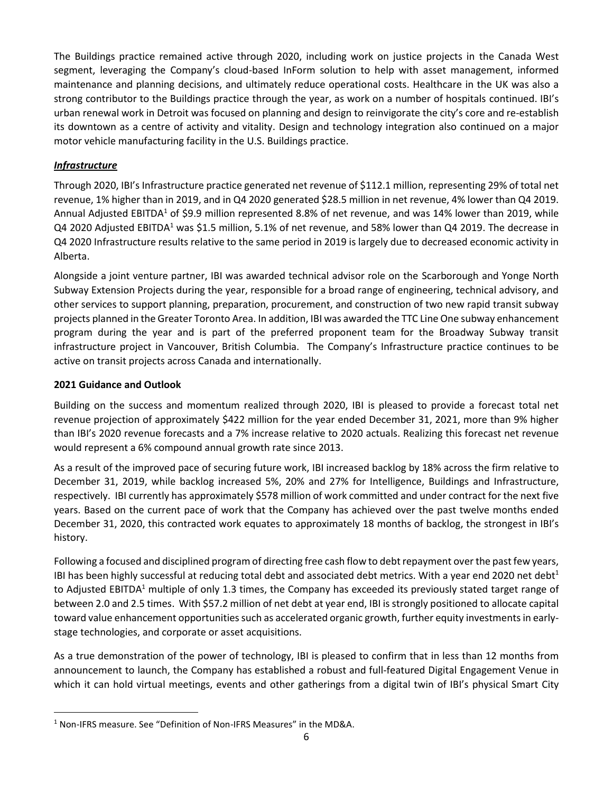The Buildings practice remained active through 2020, including work on justice projects in the Canada West segment, leveraging the Company's cloud-based InForm solution to help with asset management, informed maintenance and planning decisions, and ultimately reduce operational costs. Healthcare in the UK was also a strong contributor to the Buildings practice through the year, as work on a number of hospitals continued. IBI's urban renewal work in Detroit was focused on planning and design to reinvigorate the city's core and re-establish its downtown as a centre of activity and vitality. Design and technology integration also continued on a major motor vehicle manufacturing facility in the U.S. Buildings practice.

## *Infrastructure*

Through 2020, IBI's Infrastructure practice generated net revenue of \$112.1 million, representing 29% of total net revenue, 1% higher than in 2019, and in Q4 2020 generated \$28.5 million in net revenue, 4% lower than Q4 2019. Annual Adjusted EBITDA<sup>1</sup> of \$9.9 million represented 8.8% of net revenue, and was 14% lower than 2019, while Q4 2020 Adjusted EBITDA<sup>1</sup> was \$1.5 million, 5.1% of net revenue, and 58% lower than Q4 2019. The decrease in Q4 2020 Infrastructure results relative to the same period in 2019 is largely due to decreased economic activity in Alberta.

Alongside a joint venture partner, IBI was awarded technical advisor role on the Scarborough and Yonge North Subway Extension Projects during the year, responsible for a broad range of engineering, technical advisory, and other services to support planning, preparation, procurement, and construction of two new rapid transit subway projects planned in the Greater Toronto Area. In addition, IBI was awarded the TTC Line One subway enhancement program during the year and is part of the preferred proponent team for the Broadway Subway transit infrastructure project in Vancouver, British Columbia. The Company's Infrastructure practice continues to be active on transit projects across Canada and internationally.

### **2021 Guidance and Outlook**

Building on the success and momentum realized through 2020, IBI is pleased to provide a forecast total net revenue projection of approximately \$422 million for the year ended December 31, 2021, more than 9% higher than IBI's 2020 revenue forecasts and a 7% increase relative to 2020 actuals. Realizing this forecast net revenue would represent a 6% compound annual growth rate since 2013.

As a result of the improved pace of securing future work, IBI increased backlog by 18% across the firm relative to December 31, 2019, while backlog increased 5%, 20% and 27% for Intelligence, Buildings and Infrastructure, respectively. IBI currently has approximately \$578 million of work committed and under contract for the next five years. Based on the current pace of work that the Company has achieved over the past twelve months ended December 31, 2020, this contracted work equates to approximately 18 months of backlog, the strongest in IBI's history.

Following a focused and disciplined program of directing free cash flow to debt repayment over the past few years, IBI has been highly successful at reducing total debt and associated debt metrics. With a year end 2020 net debt<sup>1</sup> to Adjusted EBITDA<sup>1</sup> multiple of only 1.3 times, the Company has exceeded its previously stated target range of between 2.0 and 2.5 times. With \$57.2 million of net debt at year end, IBI is strongly positioned to allocate capital toward value enhancement opportunities such as accelerated organic growth, further equity investments in earlystage technologies, and corporate or asset acquisitions.

As a true demonstration of the power of technology, IBI is pleased to confirm that in less than 12 months from announcement to launch, the Company has established a robust and full-featured Digital Engagement Venue in which it can hold virtual meetings, events and other gatherings from a digital twin of IBI's physical Smart City

<sup>&</sup>lt;sup>1</sup> Non-IFRS measure. See "Definition of Non-IFRS Measures" in the MD&A.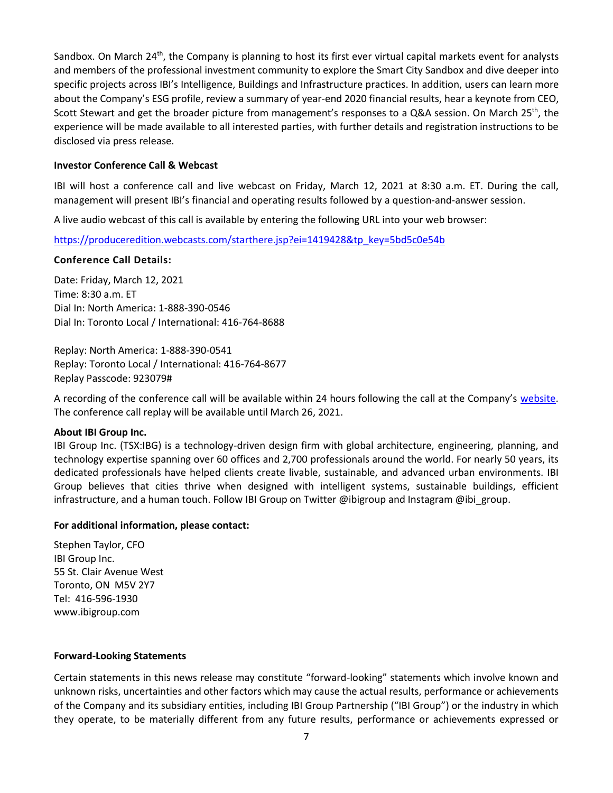Sandbox. On March 24<sup>th</sup>, the Company is planning to host its first ever virtual capital markets event for analysts and members of the professional investment community to explore the Smart City Sandbox and dive deeper into specific projects across IBI's Intelligence, Buildings and Infrastructure practices. In addition, users can learn more about the Company's ESG profile, review a summary of year-end 2020 financial results, hear a keynote from CEO, Scott Stewart and get the broader picture from management's responses to a Q&A session. On March 25<sup>th</sup>, the experience will be made available to all interested parties, with further details and registration instructions to be disclosed via press release.

### **Investor Conference Call & Webcast**

IBI will host a conference call and live webcast on Friday, March 12, 2021 at 8:30 a.m. ET. During the call, management will present IBI's financial and operating results followed by a question-and-answer session.

A live audio webcast of this call is available by entering the following URL into your web browser:

[https://produceredition.webcasts.com/starthere.jsp?ei=1419428&tp\\_key=5bd5c0e54b](https://produceredition.webcasts.com/starthere.jsp?ei=1419428&tp_key=5bd5c0e54b)

### **Conference Call Details:**

Date: Friday, March 12, 2021 Time: 8:30 a.m. ET Dial In: North America: 1-888-390-0546 Dial In: Toronto Local / International: 416-764-8688

Replay: North America: 1-888-390-0541 Replay: Toronto Local / International: 416-764-8677 Replay Passcode: 923079#

A recording of the conference call will be available within 24 hours following the call at the Company's [website.](https://www.ibigroup.com/investor-relations/financial-reports/) The conference call replay will be available until March 26, 2021.

### **About IBI Group Inc.**

IBI Group Inc. (TSX:IBG) is a technology-driven design firm with global architecture, engineering, planning, and technology expertise spanning over 60 offices and 2,700 professionals around the world. For nearly 50 years, its dedicated professionals have helped clients create livable, sustainable, and advanced urban environments. IBI Group believes that cities thrive when designed with intelligent systems, sustainable buildings, efficient infrastructure, and a human touch. Follow IBI Group on Twitter @ibigroup and Instagram @ibi\_group.

### **For additional information, please contact:**

Stephen Taylor, CFO IBI Group Inc. 55 St. Clair Avenue West Toronto, ON M5V 2Y7 Tel: 416-596-1930 www.ibigroup.com

#### **Forward-Looking Statements**

Certain statements in this news release may constitute "forward-looking" statements which involve known and unknown risks, uncertainties and other factors which may cause the actual results, performance or achievements of the Company and its subsidiary entities, including IBI Group Partnership ("IBI Group") or the industry in which they operate, to be materially different from any future results, performance or achievements expressed or